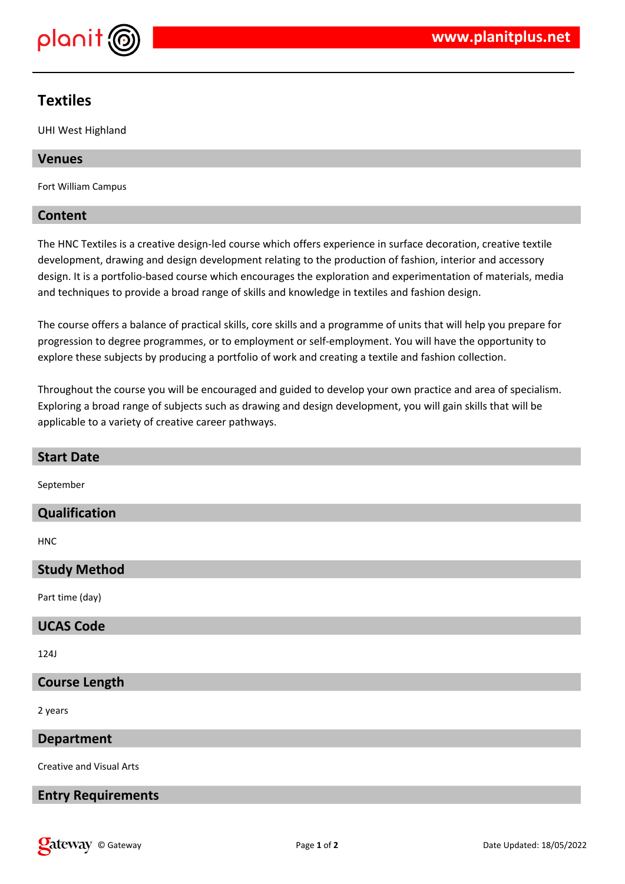

# **Textiles**

UHI West Highland

## **Venues**

Fort William Campus

## **Content**

The HNC Textiles is a creative design-led course which offers experience in surface decoration, creative textile development, drawing and design development relating to the production of fashion, interior and accessory design. It is a portfolio-based course which encourages the exploration and experimentation of materials, media and techniques to provide a broad range of skills and knowledge in textiles and fashion design.

The course offers a balance of practical skills, core skills and a programme of units that will help you prepare for progression to degree programmes, or to employment or self-employment. You will have the opportunity to explore these subjects by producing a portfolio of work and creating a textile and fashion collection.

Throughout the course you will be encouraged and guided to develop your own practice and area of specialism. Exploring a broad range of subjects such as drawing and design development, you will gain skills that will be applicable to a variety of creative career pathways.

| <b>Start Date</b>               |
|---------------------------------|
| September                       |
| Qualification                   |
| <b>HNC</b>                      |
| <b>Study Method</b>             |
| Part time (day)                 |
| <b>UCAS Code</b>                |
| <b>124J</b>                     |
| <b>Course Length</b>            |
| 2 years                         |
| <b>Department</b>               |
| <b>Creative and Visual Arts</b> |
| <b>Entry Requirements</b>       |
|                                 |